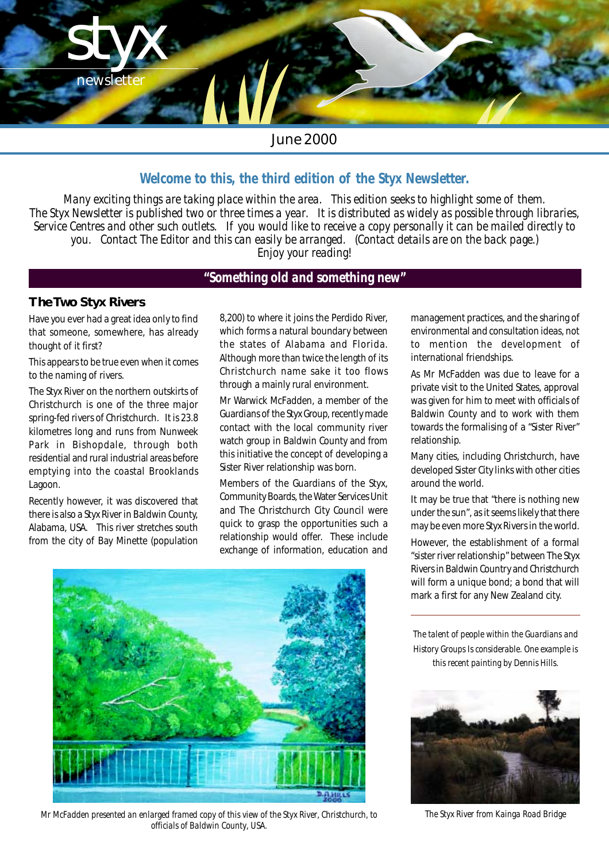

# *June 2000*

# *Welcome to this, the third edition of the Styx Newsletter.*

*Many exciting things are taking place within the area. This edition seeks to highlight some of them. The Styx Newsletter is published two or three times a year. It is distributed as widely as possible through libraries, Service Centres and other such outlets. If you would like to receive a copy personally it can be mailed directly to you. Contact The Editor and this can easily be arranged. (Contact details are on the back page.) Enjoy your reading!*

# *"Something old and something new"*

#### **The Two Styx Rivers**

Have you ever had a great idea only to find that someone, somewhere, has already thought of it first?

This appears to be true even when it comes to the naming of rivers.

The Styx River on the northern outskirts of Christchurch is one of the three major spring-fed rivers of Christchurch. It is 23.8 kilometres long and runs from Nunweek Park in Bishopdale, through both residential and rural industrial areas before emptying into the coastal Brooklands Lagoon.

Recently however, it was discovered that there is also a Styx River in Baldwin County, Alabama, USA. This river stretches south from the city of Bay Minette (population 8,200) to where it joins the Perdido River, which forms a natural boundary between the states of Alabama and Florida. Although more than twice the length of its Christchurch name sake it too flows through a mainly rural environment.

Mr Warwick McFadden, a member of the Guardians of the Styx Group, recently made contact with the local community river watch group in Baldwin County and from this initiative the concept of developing a Sister River relationship was born.

Members of the Guardians of the Styx, Community Boards, the Water Services Unit and The Christchurch City Council were quick to grasp the opportunities such a relationship would offer. These include exchange of information, education and



*Mr McFadden presented an enlarged framed copy of this view of the Styx River, Christchurch, to officials of Baldwin County, USA.*

management practices, and the sharing of environmental and consultation ideas, not to mention the development of international friendships.

As Mr McFadden was due to leave for a private visit to the United States, approval was given for him to meet with officials of Baldwin County and to work with them towards the formalising of a "Sister River" relationship.

Many cities, including Christchurch, have developed Sister City links with other cities around the world.

It may be true that "there is nothing new under the sun", as it seems likely that there may be even more Styx Rivers in the world.

However, the establishment of a formal "sister river relationship" between The Styx Rivers in Baldwin Country and Christchurch will form a unique bond; a bond that will mark a first for any New Zealand city.

*The talent of people within the Guardians and History Groups Is considerable. One example is this recent painting by Dennis Hills.*



*The Styx River from Kainga Road Bridge*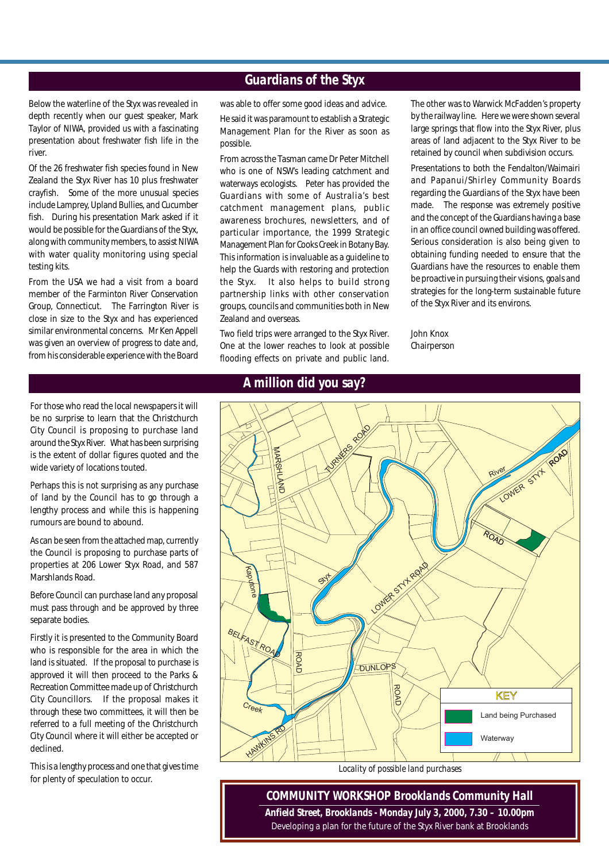# *Guardians of the Styx*

Below the waterline of the Styx was revealed in depth recently when our guest speaker, Mark Taylor of NIWA, provided us with a fascinating presentation about freshwater fish life in the river.

Of the 26 freshwater fish species found in New Zealand the Styx River has 10 plus freshwater crayfish. Some of the more unusual species include Lamprey, Upland Bullies, and Cucumber fish. During his presentation Mark asked if it would be possible for the Guardians of the Styx, along with community members, to assist NIWA with water quality monitoring using special testing kits.

From the USA we had a visit from a board member of the Farminton River Conservation Group, Connecticut. The Farrington River is close in size to the Styx and has experienced similar environmental concerns. Mr Ken Appell was given an overview of progress to date and, from his considerable experience with the Board

was able to offer some good ideas and advice. He said it was paramount to establish a Strategic Management Plan for the River as soon as possible.

From across the Tasman came Dr Peter Mitchell who is one of NSW's leading catchment and waterways ecologists. Peter has provided the Guardians with some of Australia's best catchment management plans, public awareness brochures, newsletters, and of particular importance, the 1999 Strategic Management Plan for Cooks Creek in Botany Bay. This information is invaluable as a guideline to help the Guards with restoring and protection the Styx. It also helps to build strong partnership links with other conservation groups, councils and communities both in New Zealand and overseas.

Two field trips were arranged to the Styx River. One at the lower reaches to look at possible flooding effects on private and public land.

The other was to Warwick McFadden's property by the railway line. Here we were shown several large springs that flow into the Styx River, plus areas of land adjacent to the Styx River to be retained by council when subdivision occurs.

Presentations to both the Fendalton/Waimairi and Papanui/Shirley Community Boards regarding the Guardians of the Styx have been made. The response was extremely positive and the concept of the Guardians having a base in an office council owned building was offered. Serious consideration is also being given to obtaining funding needed to ensure that the Guardians have the resources to enable them be proactive in pursuing their visions, goals and strategies for the long-term sustainable future of the Styx River and its environs.

John Knox Chairperson

For those who read the local newspapers it will be no surprise to learn that the Christchurch City Council is proposing to purchase land around the Styx River. What has been surprising is the extent of dollar figures quoted and the wide variety of locations touted.

Perhaps this is not surprising as any purchase of land by the Council has to go through a lengthy process and while this is happening rumours are bound to abound.

As can be seen from the attached map, currently the Council is proposing to purchase parts of properties at 206 Lower Styx Road, and 587 Marshlands Road.

Before Council can purchase land any proposal must pass through and be approved by three separate bodies.

Firstly it is presented to the Community Board who is responsible for the area in which the land is situated. If the proposal to purchase is approved it will then proceed to the Parks & Recreation Committee made up of Christchurch City Councillors. If the proposal makes it through these two committees, it will then be referred to a full meeting of the Christchurch City Council where it will either be accepted or declined.

This is a lengthy process and one that gives time for plenty of speculation to occur.

#### *A million did you say?*



*COMMUNITY WORKSHOP Brooklands Community Hall Anfield Street, Brooklands - Monday July 3, 2000, 7.30 – 10.00pm* Developing a plan for the future of the Styx River bank at Brooklands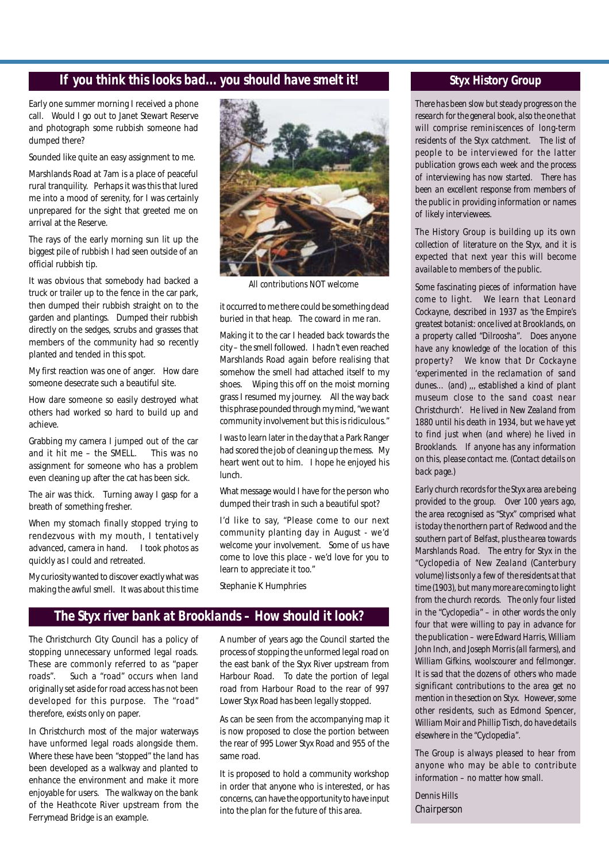### *If you think this looks bad... you should have smelt it!*

Early one summer morning I received a phone call. Would I go out to Janet Stewart Reserve and photograph some rubbish someone had dumped there?

Sounded like quite an easy assignment to me.

Marshlands Road at 7am is a place of peaceful rural tranquility. Perhaps it was this that lured me into a mood of serenity, for I was certainly unprepared for the sight that greeted me on arrival at the Reserve.

The rays of the early morning sun lit up the biggest pile of rubbish I had seen outside of an official rubbish tip.

It was obvious that somebody had backed a truck or trailer up to the fence in the car park, then dumped their rubbish straight on to the garden and plantings. Dumped their rubbish directly on the sedges, scrubs and grasses that members of the community had so recently planted and tended in this spot.

My first reaction was one of anger. How dare someone desecrate such a beautiful site.

How dare someone so easily destroyed what others had worked so hard to build up and achieve.

Grabbing my camera I jumped out of the car and it hit me – the SMELL. This was no assignment for someone who has a problem even cleaning up after the cat has been sick.

The air was thick. Turning away I gasp for a breath of something fresher.

When my stomach finally stopped trying to rendezvous with my mouth, I tentatively advanced, camera in hand. I took photos as quickly as I could and retreated.

My curiosity wanted to discover exactly what was making the awful smell. It was about this time



*All contributions NOT welcome*

it occurred to me there could be something dead buried in that heap. The coward in me ran.

Making it to the car I headed back towards the city – the smell followed. I hadn't even reached Marshlands Road again before realising that somehow the smell had attached itself to my shoes. Wiping this off on the moist morning grass I resumed my journey. All the way back this phrase pounded through my mind, "we want community involvement but this is ridiculous."

I was to learn later in the day that a Park Ranger had scored the job of cleaning up the mess. My heart went out to him. I hope he enjoyed his lunch.

What message would I have for the person who dumped their trash in such a beautiful spot?

I'd like to say, "Please come to our next community planting day in August - we'd welcome your involvement. Some of us have come to love this place - we'd love for you to learn to appreciate it too."

Stephanie K Humphries

#### *The Styx river bank at Brooklands – How should it look?*

The Christchurch City Council has a policy of stopping unnecessary unformed legal roads. These are commonly referred to as "paper roads". Such a "road" occurs when land originally set aside for road access has not been developed for this purpose. The "road" therefore, exists only on paper.

In Christchurch most of the major waterways have unformed legal roads alongside them. Where these have been "stopped" the land has been developed as a walkway and planted to enhance the environment and make it more enjoyable for users. The walkway on the bank of the Heathcote River upstream from the Ferrymead Bridge is an example.

A number of years ago the Council started the process of stopping the unformed legal road on the east bank of the Styx River upstream from Harbour Road. To date the portion of legal road from Harbour Road to the rear of 997 Lower Styx Road has been legally stopped.

As can be seen from the accompanying map it is now proposed to close the portion between the rear of 995 Lower Styx Road and 955 of the same road.

It is proposed to hold a community workshop in order that anyone who is interested, or has concerns, can have the opportunity to have input into the plan for the future of this area.

#### *Styx History Group*

*There has been slow but steady progress on the research for the general book, also the one that will comprise reminiscences of long-term residents of the Styx catchment. The list of people to be interviewed for the latter publication grows each week and the process of interviewing has now started. There has been an excellent response from members of the public in providing information or names of likely interviewees.*

*The History Group is building up its own collection of literature on the Styx, and it is expected that next year this will become available to members of the public.*

*Some fascinating pieces of information have come to light. We learn that Leonard Cockayne, described in 1937 as 'the Empire's greatest botanist: once lived at Brooklands, on a property called "Dilroosha". Does anyone have any knowledge of the location of this property? We know that Dr Cockayne 'experimented in the reclamation of sand dunes… (and) ,,, established a kind of plant museum close to the sand coast near Christchurch'. He lived in New Zealand from 1880 until his death in 1934, but we have yet to find just when (and where) he lived in Brooklands. If anyone has any information on this, please contact me. (Contact details on back page.)*

*Early church records for the Styx area are being provided to the group. Over 100 years ago, the area recognised as "Styx" comprised what is today the northern part of Redwood and the southern part of Belfast, plus the area towards Marshlands Road. The entry for Styx in the "Cyclopedia of New Zealand (Canterbury volume) lists only a few of the residents at that time (1903), but many more are coming to light from the church records. The only four listed in the "Cyclopedia" – in other words the only four that were willing to pay in advance for the publication – were Edward Harris, William John Inch, and Joseph Morris (all farmers), and William Gifkins, woolscourer and fellmonger. It is sad that the dozens of others who made significant contributions to the area get no mention in the section on Styx. However, some other residents, such as Edmond Spencer, William Moir and Phillip Tisch, do have details elsewhere in the "Cyclopedia".*

*The Group is always pleased to hear from anyone who may be able to contribute information – no matter how small.*

*Dennis Hills Chairperson*